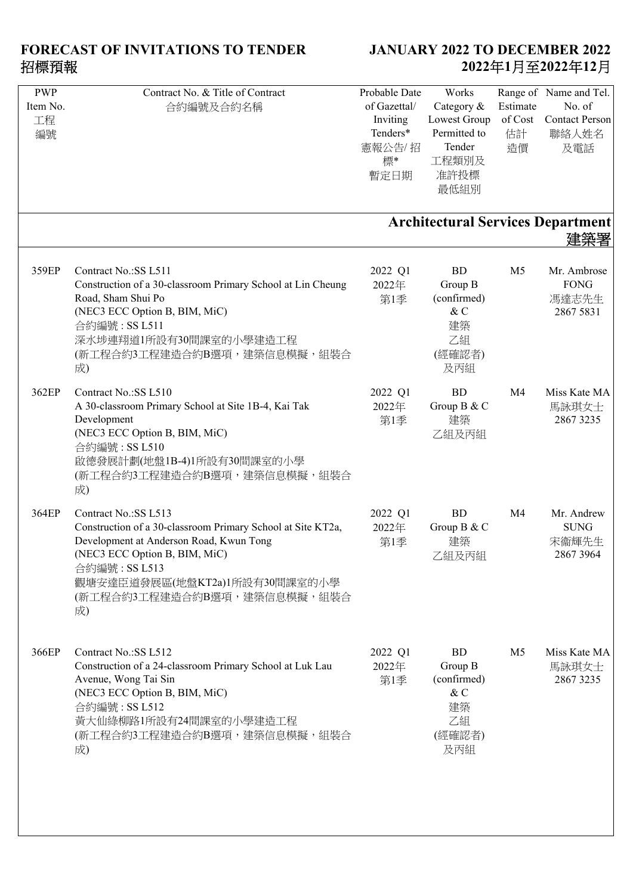| <b>PWP</b><br>Item No.<br>工程<br>編號 | Contract No. & Title of Contract<br>合約編號及合約名稱                                                                                                                                                                                                          | Probable Date<br>of Gazettal/<br>Inviting<br>Tenders*<br>憲報公告/招<br>標* | Works<br>Category &<br>Lowest Group<br>Permitted to<br>Tender<br>工程類別及     | Estimate<br>of Cost<br>估計<br>造價 | Range of Name and Tel.<br>No. of<br><b>Contact Person</b><br>聯絡人姓名<br>及電話 |
|------------------------------------|--------------------------------------------------------------------------------------------------------------------------------------------------------------------------------------------------------------------------------------------------------|-----------------------------------------------------------------------|----------------------------------------------------------------------------|---------------------------------|---------------------------------------------------------------------------|
|                                    |                                                                                                                                                                                                                                                        | 暫定日期                                                                  | 准許投標<br>最低組別                                                               |                                 |                                                                           |
|                                    |                                                                                                                                                                                                                                                        |                                                                       |                                                                            |                                 | <b>Architectural Services Department</b><br>建築署                           |
| 359EP                              | Contract No.:SS L511<br>Construction of a 30-classroom Primary School at Lin Cheung<br>Road, Sham Shui Po<br>(NEC3 ECC Option B, BIM, MiC)<br>合約編號: SS L511<br>深水埗連翔道1所設有30間課室的小學建造工程<br>(新工程合約3工程建造合約B選項,建築信息模擬,組裝合<br>成)                             | 2022 Q1<br>2022年<br>第1季                                               | <b>BD</b><br>Group B<br>(confirmed)<br>$\&$ C<br>建築<br>乙組<br>(經確認者)<br>及丙組 | M <sub>5</sub>                  | Mr. Ambrose<br><b>FONG</b><br>馮達志先生<br>2867 5831                          |
| 362EP                              | Contract No.: SS L510<br>A 30-classroom Primary School at Site 1B-4, Kai Tak<br>Development<br>(NEC3 ECC Option B, BIM, MiC)<br>合約編號: SS L510<br>啟德發展計劃(地盤1B-4)1所設有30間課室的小學<br>(新工程合約3工程建造合約B選項,建築信息模擬,組裝合<br>成)                                       | 2022 Q1<br>2022年<br>第1季                                               | <b>BD</b><br>Group B & C<br>建築<br>乙組及丙組                                    | M <sub>4</sub>                  | Miss Kate MA<br>馬詠琪女士<br>2867 3235                                        |
| 364EP                              | Contract No.:SS L513<br>Construction of a 30-classroom Primary School at Site KT2a,<br>Development at Anderson Road, Kwun Tong<br>(NEC3 ECC Option B, BIM, MiC)<br>合約編號: SS L513<br>觀塘安達臣道發展區(地盤KT2a)1所設有30間課室的小學<br>(新工程合約3工程建造合約B選項,建築信息模擬,組裝合<br>成) | 2022 Q1<br>2022年<br>第1季                                               | <b>BD</b><br>Group B & C<br>建築<br>乙組及丙組                                    | M <sub>4</sub>                  | Mr. Andrew<br><b>SUNG</b><br>宋衞輝先生<br>2867 3964                           |
| 366EP                              | Contract No.: SS L512<br>Construction of a 24-classroom Primary School at Luk Lau<br>Avenue, Wong Tai Sin<br>(NEC3 ECC Option B, BIM, MiC)<br>合約編號: SS L512<br>黃大仙綠柳路1所設有24間課室的小學建造工程<br>(新工程合約3工程建造合約B選項,建築信息模擬,組裝合<br>成)                             | 2022 Q1<br>2022年<br>第1季                                               | <b>BD</b><br>Group B<br>(confirmed)<br>& C<br>建築<br>乙組<br>(經確認者)<br>及丙組    | M <sub>5</sub>                  | Miss Kate MA<br>馬詠琪女士<br>2867 3235                                        |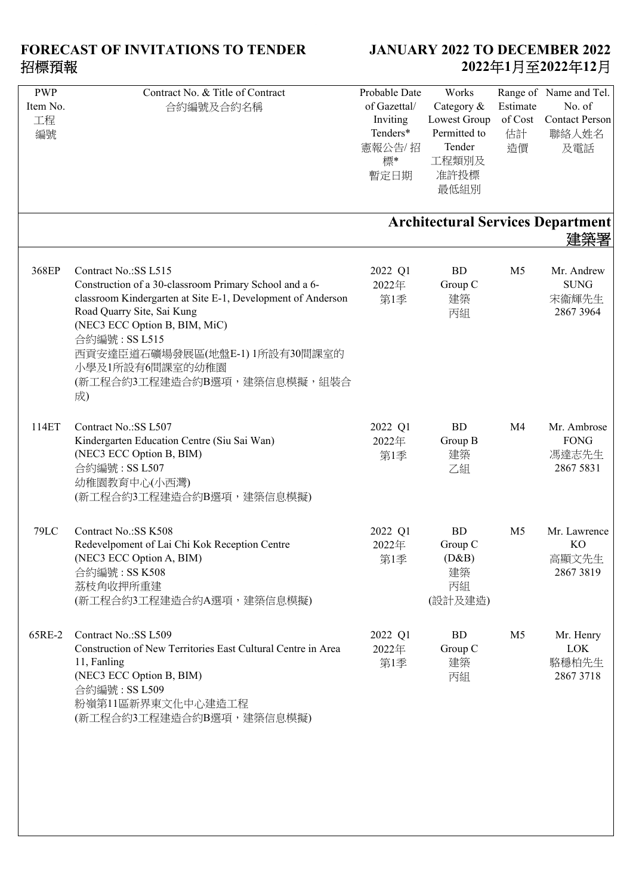| Contract No. & Title of Contract                             | Probable Date                                                                                                                                                                                                                                                                                                                                                                                                                                                                                                                                                                                                                                                                          | Works                                                                                                  |                                                                                                                                                                                 | Range of Name and Tel.                                          |
|--------------------------------------------------------------|----------------------------------------------------------------------------------------------------------------------------------------------------------------------------------------------------------------------------------------------------------------------------------------------------------------------------------------------------------------------------------------------------------------------------------------------------------------------------------------------------------------------------------------------------------------------------------------------------------------------------------------------------------------------------------------|--------------------------------------------------------------------------------------------------------|---------------------------------------------------------------------------------------------------------------------------------------------------------------------------------|-----------------------------------------------------------------|
|                                                              | of Gazettal/                                                                                                                                                                                                                                                                                                                                                                                                                                                                                                                                                                                                                                                                           | Category &                                                                                             | Estimate                                                                                                                                                                        | No. of                                                          |
|                                                              |                                                                                                                                                                                                                                                                                                                                                                                                                                                                                                                                                                                                                                                                                        |                                                                                                        |                                                                                                                                                                                 | <b>Contact Person</b>                                           |
|                                                              |                                                                                                                                                                                                                                                                                                                                                                                                                                                                                                                                                                                                                                                                                        |                                                                                                        |                                                                                                                                                                                 | 聯絡人姓名                                                           |
|                                                              |                                                                                                                                                                                                                                                                                                                                                                                                                                                                                                                                                                                                                                                                                        |                                                                                                        |                                                                                                                                                                                 |                                                                 |
|                                                              |                                                                                                                                                                                                                                                                                                                                                                                                                                                                                                                                                                                                                                                                                        |                                                                                                        |                                                                                                                                                                                 | 及電話                                                             |
|                                                              |                                                                                                                                                                                                                                                                                                                                                                                                                                                                                                                                                                                                                                                                                        |                                                                                                        |                                                                                                                                                                                 |                                                                 |
|                                                              | 暫定日期                                                                                                                                                                                                                                                                                                                                                                                                                                                                                                                                                                                                                                                                                   |                                                                                                        |                                                                                                                                                                                 |                                                                 |
|                                                              |                                                                                                                                                                                                                                                                                                                                                                                                                                                                                                                                                                                                                                                                                        |                                                                                                        |                                                                                                                                                                                 |                                                                 |
|                                                              |                                                                                                                                                                                                                                                                                                                                                                                                                                                                                                                                                                                                                                                                                        |                                                                                                        |                                                                                                                                                                                 |                                                                 |
|                                                              |                                                                                                                                                                                                                                                                                                                                                                                                                                                                                                                                                                                                                                                                                        |                                                                                                        |                                                                                                                                                                                 |                                                                 |
|                                                              |                                                                                                                                                                                                                                                                                                                                                                                                                                                                                                                                                                                                                                                                                        |                                                                                                        |                                                                                                                                                                                 | 建築署                                                             |
|                                                              |                                                                                                                                                                                                                                                                                                                                                                                                                                                                                                                                                                                                                                                                                        |                                                                                                        |                                                                                                                                                                                 |                                                                 |
| Contract No.:SS L515                                         |                                                                                                                                                                                                                                                                                                                                                                                                                                                                                                                                                                                                                                                                                        | BD                                                                                                     | M <sub>5</sub>                                                                                                                                                                  | Mr. Andrew                                                      |
|                                                              |                                                                                                                                                                                                                                                                                                                                                                                                                                                                                                                                                                                                                                                                                        |                                                                                                        |                                                                                                                                                                                 | <b>SUNG</b>                                                     |
|                                                              |                                                                                                                                                                                                                                                                                                                                                                                                                                                                                                                                                                                                                                                                                        |                                                                                                        |                                                                                                                                                                                 |                                                                 |
|                                                              |                                                                                                                                                                                                                                                                                                                                                                                                                                                                                                                                                                                                                                                                                        |                                                                                                        |                                                                                                                                                                                 | 宋衞輝先生                                                           |
|                                                              |                                                                                                                                                                                                                                                                                                                                                                                                                                                                                                                                                                                                                                                                                        |                                                                                                        |                                                                                                                                                                                 | 2867 3964                                                       |
|                                                              |                                                                                                                                                                                                                                                                                                                                                                                                                                                                                                                                                                                                                                                                                        |                                                                                                        |                                                                                                                                                                                 |                                                                 |
| 合約編號: SS L515                                                |                                                                                                                                                                                                                                                                                                                                                                                                                                                                                                                                                                                                                                                                                        |                                                                                                        |                                                                                                                                                                                 |                                                                 |
|                                                              |                                                                                                                                                                                                                                                                                                                                                                                                                                                                                                                                                                                                                                                                                        |                                                                                                        |                                                                                                                                                                                 |                                                                 |
|                                                              |                                                                                                                                                                                                                                                                                                                                                                                                                                                                                                                                                                                                                                                                                        |                                                                                                        |                                                                                                                                                                                 |                                                                 |
|                                                              |                                                                                                                                                                                                                                                                                                                                                                                                                                                                                                                                                                                                                                                                                        |                                                                                                        |                                                                                                                                                                                 |                                                                 |
|                                                              |                                                                                                                                                                                                                                                                                                                                                                                                                                                                                                                                                                                                                                                                                        |                                                                                                        |                                                                                                                                                                                 |                                                                 |
|                                                              |                                                                                                                                                                                                                                                                                                                                                                                                                                                                                                                                                                                                                                                                                        |                                                                                                        |                                                                                                                                                                                 |                                                                 |
|                                                              |                                                                                                                                                                                                                                                                                                                                                                                                                                                                                                                                                                                                                                                                                        |                                                                                                        |                                                                                                                                                                                 |                                                                 |
| Contract No.: SS L507                                        | 2022 Q1                                                                                                                                                                                                                                                                                                                                                                                                                                                                                                                                                                                                                                                                                | <b>BD</b>                                                                                              | M <sub>4</sub>                                                                                                                                                                  | Mr. Ambrose                                                     |
|                                                              |                                                                                                                                                                                                                                                                                                                                                                                                                                                                                                                                                                                                                                                                                        |                                                                                                        |                                                                                                                                                                                 | <b>FONG</b>                                                     |
|                                                              |                                                                                                                                                                                                                                                                                                                                                                                                                                                                                                                                                                                                                                                                                        |                                                                                                        |                                                                                                                                                                                 | 馮達志先生                                                           |
|                                                              |                                                                                                                                                                                                                                                                                                                                                                                                                                                                                                                                                                                                                                                                                        |                                                                                                        |                                                                                                                                                                                 | 2867 5831                                                       |
|                                                              |                                                                                                                                                                                                                                                                                                                                                                                                                                                                                                                                                                                                                                                                                        |                                                                                                        |                                                                                                                                                                                 |                                                                 |
|                                                              |                                                                                                                                                                                                                                                                                                                                                                                                                                                                                                                                                                                                                                                                                        |                                                                                                        |                                                                                                                                                                                 |                                                                 |
|                                                              |                                                                                                                                                                                                                                                                                                                                                                                                                                                                                                                                                                                                                                                                                        |                                                                                                        |                                                                                                                                                                                 |                                                                 |
|                                                              |                                                                                                                                                                                                                                                                                                                                                                                                                                                                                                                                                                                                                                                                                        |                                                                                                        |                                                                                                                                                                                 |                                                                 |
| Contract No.: SS K508                                        | 2022 Q1                                                                                                                                                                                                                                                                                                                                                                                                                                                                                                                                                                                                                                                                                | BD                                                                                                     | M <sub>5</sub>                                                                                                                                                                  | Mr. Lawrence                                                    |
|                                                              |                                                                                                                                                                                                                                                                                                                                                                                                                                                                                                                                                                                                                                                                                        |                                                                                                        |                                                                                                                                                                                 | KO                                                              |
|                                                              |                                                                                                                                                                                                                                                                                                                                                                                                                                                                                                                                                                                                                                                                                        |                                                                                                        |                                                                                                                                                                                 | 高顯文先生                                                           |
|                                                              |                                                                                                                                                                                                                                                                                                                                                                                                                                                                                                                                                                                                                                                                                        |                                                                                                        |                                                                                                                                                                                 | 28673819                                                        |
|                                                              |                                                                                                                                                                                                                                                                                                                                                                                                                                                                                                                                                                                                                                                                                        |                                                                                                        |                                                                                                                                                                                 |                                                                 |
|                                                              |                                                                                                                                                                                                                                                                                                                                                                                                                                                                                                                                                                                                                                                                                        |                                                                                                        |                                                                                                                                                                                 |                                                                 |
|                                                              |                                                                                                                                                                                                                                                                                                                                                                                                                                                                                                                                                                                                                                                                                        |                                                                                                        |                                                                                                                                                                                 |                                                                 |
|                                                              |                                                                                                                                                                                                                                                                                                                                                                                                                                                                                                                                                                                                                                                                                        |                                                                                                        |                                                                                                                                                                                 |                                                                 |
| Contract No.:SS L509                                         | 2022 Q1                                                                                                                                                                                                                                                                                                                                                                                                                                                                                                                                                                                                                                                                                | <b>BD</b>                                                                                              | M <sub>5</sub>                                                                                                                                                                  | Mr. Henry                                                       |
| Construction of New Territories East Cultural Centre in Area | 2022年                                                                                                                                                                                                                                                                                                                                                                                                                                                                                                                                                                                                                                                                                  |                                                                                                        |                                                                                                                                                                                 | <b>LOK</b>                                                      |
|                                                              |                                                                                                                                                                                                                                                                                                                                                                                                                                                                                                                                                                                                                                                                                        |                                                                                                        |                                                                                                                                                                                 | 駱穩柏先生                                                           |
|                                                              |                                                                                                                                                                                                                                                                                                                                                                                                                                                                                                                                                                                                                                                                                        |                                                                                                        |                                                                                                                                                                                 | 2867 3718                                                       |
|                                                              |                                                                                                                                                                                                                                                                                                                                                                                                                                                                                                                                                                                                                                                                                        |                                                                                                        |                                                                                                                                                                                 |                                                                 |
|                                                              |                                                                                                                                                                                                                                                                                                                                                                                                                                                                                                                                                                                                                                                                                        |                                                                                                        |                                                                                                                                                                                 |                                                                 |
|                                                              |                                                                                                                                                                                                                                                                                                                                                                                                                                                                                                                                                                                                                                                                                        |                                                                                                        |                                                                                                                                                                                 |                                                                 |
|                                                              |                                                                                                                                                                                                                                                                                                                                                                                                                                                                                                                                                                                                                                                                                        |                                                                                                        |                                                                                                                                                                                 |                                                                 |
|                                                              |                                                                                                                                                                                                                                                                                                                                                                                                                                                                                                                                                                                                                                                                                        |                                                                                                        |                                                                                                                                                                                 |                                                                 |
|                                                              |                                                                                                                                                                                                                                                                                                                                                                                                                                                                                                                                                                                                                                                                                        |                                                                                                        |                                                                                                                                                                                 |                                                                 |
|                                                              |                                                                                                                                                                                                                                                                                                                                                                                                                                                                                                                                                                                                                                                                                        |                                                                                                        |                                                                                                                                                                                 |                                                                 |
|                                                              |                                                                                                                                                                                                                                                                                                                                                                                                                                                                                                                                                                                                                                                                                        |                                                                                                        |                                                                                                                                                                                 |                                                                 |
|                                                              |                                                                                                                                                                                                                                                                                                                                                                                                                                                                                                                                                                                                                                                                                        |                                                                                                        |                                                                                                                                                                                 |                                                                 |
|                                                              | 合約編號及合約名稱<br>Construction of a 30-classroom Primary School and a 6-<br>classroom Kindergarten at Site E-1, Development of Anderson<br>Road Quarry Site, Sai Kung<br>(NEC3 ECC Option B, BIM, MiC)<br>西貢安達臣道石礦場發展區(地盤E-1) 1所設有30間課室的<br>小學及1所設有6間課室的幼稚園<br>(新工程合約3工程建造合約B選項,建築信息模擬,組裝合<br>成)<br>Kindergarten Education Centre (Siu Sai Wan)<br>(NEC3 ECC Option B, BIM)<br>合約編號: SS L507<br>幼稚園教育中心(小西灣)<br>(新工程合約3工程建造合約B選項,建築信息模擬)<br>Redevelpoment of Lai Chi Kok Reception Centre<br>(NEC3 ECC Option A, BIM)<br>合約編號: SS K508<br>荔枝角收押所重建<br>(新工程合約3工程建造合約A選項,建築信息模擬)<br>11, Fanling<br>(NEC3 ECC Option B, BIM)<br>合約編號: SS L509<br>粉嶺第11區新界東文化中心建造工程<br>(新工程合約3工程建造合約B選項,建築信息模擬) | Inviting<br>Tenders*<br>憲報公告/招<br>標*<br>2022 Q1<br>2022年<br>第1季<br>2022年<br>第1季<br>2022年<br>第1季<br>第1季 | Lowest Group<br>Permitted to<br>Tender<br>工程類別及<br>准許投標<br>最低組別<br>Group C<br>建築<br>丙組<br>Group B<br>建築<br>乙組<br>Group C<br>(D&B)<br>建築<br>丙組<br>(設計及建造)<br>Group C<br>建築<br>丙組 | of Cost<br>估計<br>造價<br><b>Architectural Services Department</b> |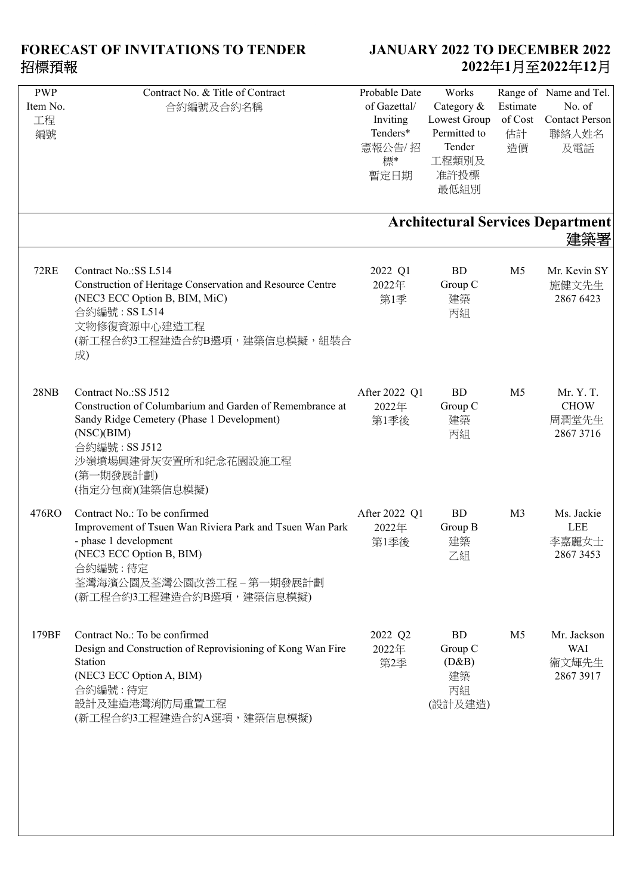| <b>PWP</b><br>Item No.<br>工程<br>編號 | Contract No. & Title of Contract<br>合約編號及合約名稱                                                                                                                                                                         | Probable Date<br>of Gazettal/<br>Inviting<br>Tenders*<br>憲報公告/招<br>標*<br>暫定日期 | Works<br>Category &<br>Lowest Group<br>Permitted to<br>Tender<br>工程類別及<br>准許投標<br>最低組別 | Estimate<br>of Cost<br>估計<br>造價 | Range of Name and Tel.<br>No. of<br><b>Contact Person</b><br>聯絡人姓名<br>及電話 |
|------------------------------------|-----------------------------------------------------------------------------------------------------------------------------------------------------------------------------------------------------------------------|-------------------------------------------------------------------------------|----------------------------------------------------------------------------------------|---------------------------------|---------------------------------------------------------------------------|
|                                    |                                                                                                                                                                                                                       |                                                                               |                                                                                        |                                 | <b>Architectural Services Department</b><br>建築署                           |
| <b>72RE</b>                        | Contract No.:SS L514<br>Construction of Heritage Conservation and Resource Centre<br>(NEC3 ECC Option B, BIM, MiC)<br>合約編號: SS L514<br>文物修復資源中心建造工程<br>(新工程合約3工程建造合約B選項,建築信息模擬,組裝合<br>成)                              | 2022 Q1<br>2022年<br>第1季                                                       | <b>BD</b><br>Group C<br>建築<br>丙組                                                       | M <sub>5</sub>                  | Mr. Kevin SY<br>施健文先生<br>2867 6423                                        |
| 28NB                               | Contract No.:SS J512<br>Construction of Columbarium and Garden of Remembrance at<br>Sandy Ridge Cemetery (Phase 1 Development)<br>(NSC)(BIM)<br>合約編號: SS J512<br>沙嶺墳場興建骨灰安置所和紀念花園設施工程<br>(第一期發展計劃)<br>(指定分包商)(建築信息模擬) | After 2022 Q1<br>2022年<br>第1季後                                                | <b>BD</b><br>Group C<br>建築<br>丙組                                                       | M <sub>5</sub>                  | Mr. Y. T.<br><b>CHOW</b><br>周潤堂先生<br>2867 3716                            |
| 476RO                              | Contract No.: To be confirmed<br>Improvement of Tsuen Wan Riviera Park and Tsuen Wan Park<br>- phase 1 development<br>(NEC3 ECC Option B, BIM)<br>合約編號:待定<br>荃灣海濱公園及荃灣公園改善工程 - 第一期發展計劃<br>(新工程合約3工程建造合約B選項,建築信息模擬)    | After 2022 Q1<br>2022年<br>第1季後                                                | <b>BD</b><br>Group B<br>建築<br>乙組                                                       | M <sub>3</sub>                  | Ms. Jackie<br>LEE<br>李嘉麗女士<br>2867 3453                                   |
| 179BF                              | Contract No.: To be confirmed<br>Design and Construction of Reprovisioning of Kong Wan Fire<br>Station<br>(NEC3 ECC Option A, BIM)<br>合約編號:待定<br>設計及建造港灣消防局重置工程<br>(新工程合約3工程建造合約A選項,建築信息模擬)                           | 2022 Q2<br>2022年<br>第2季                                                       | <b>BD</b><br>Group C<br>(D&B)<br>建築<br>丙組<br>(設計及建造)                                   | M <sub>5</sub>                  | Mr. Jackson<br><b>WAI</b><br>衞文輝先生<br>2867 3917                           |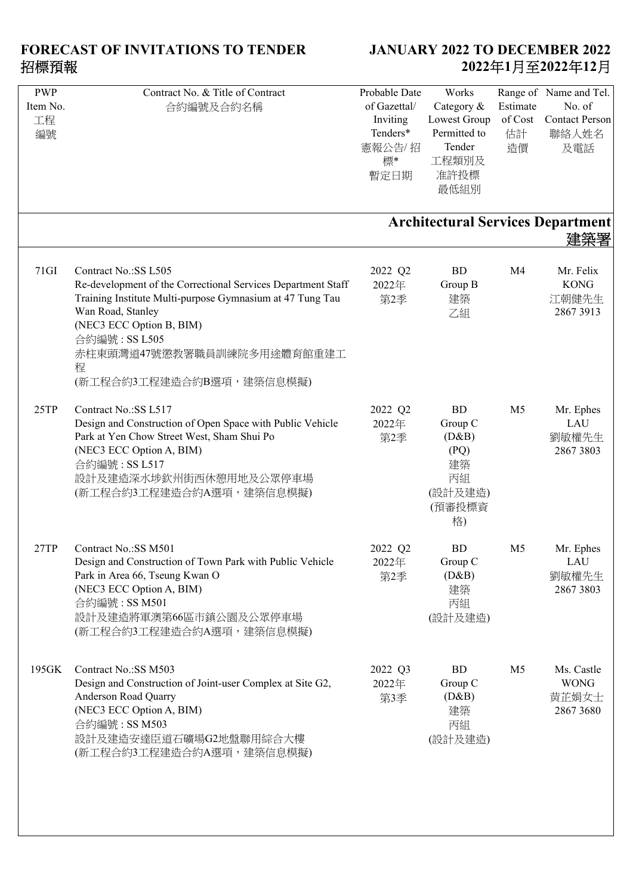| <b>PWP</b><br>Item No.<br>工程<br>編號 | Contract No. & Title of Contract<br>合約編號及合約名稱                                                                                                                                                                                                                                      | Probable Date<br>of Gazettal/<br>Inviting<br>Tenders*<br>憲報公告/招<br>標*<br>暫定日期 | Works<br>Category &<br>Lowest Group<br>Permitted to<br>Tender<br>工程類別及<br>准許投標<br>最低組別 | Estimate<br>of Cost<br>估計<br>造價 | Range of Name and Tel.<br>No. of<br><b>Contact Person</b><br>聯絡人姓名<br>及電話 |
|------------------------------------|------------------------------------------------------------------------------------------------------------------------------------------------------------------------------------------------------------------------------------------------------------------------------------|-------------------------------------------------------------------------------|----------------------------------------------------------------------------------------|---------------------------------|---------------------------------------------------------------------------|
|                                    |                                                                                                                                                                                                                                                                                    |                                                                               |                                                                                        |                                 | <b>Architectural Services Department</b>                                  |
| 71GI                               | Contract No.:SS L505<br>Re-development of the Correctional Services Department Staff<br>Training Institute Multi-purpose Gymnasium at 47 Tung Tau<br>Wan Road, Stanley<br>(NEC3 ECC Option B, BIM)<br>合約編號: SS L505<br>赤柱東頭灣道47號懲教署職員訓練院多用途體育館重建工<br>程<br>(新工程合約3工程建造合約B選項,建築信息模擬) | 2022 Q2<br>2022年<br>第2季                                                       | <b>BD</b><br>Group B<br>建築<br>乙組                                                       | M <sub>4</sub>                  | Mr. Felix<br><b>KONG</b><br>江朝健先生<br>2867 3913                            |
| 25TP                               | Contract No.:SS L517<br>Design and Construction of Open Space with Public Vehicle<br>Park at Yen Chow Street West, Sham Shui Po<br>(NEC3 ECC Option A, BIM)<br>合約編號: SS L517<br>設計及建造深水埗欽州街西休憩用地及公眾停車場<br>(新工程合約3工程建造合約A選項,建築信息模擬)                                                 | 2022 Q2<br>2022年<br>第2季                                                       | <b>BD</b><br>Group C<br>(D&B)<br>(PQ)<br>建築<br>丙組<br>(設計及建造)<br>(預審投標資<br>格)           | M <sub>5</sub>                  | Mr. Ephes<br>LAU<br>劉敏權先生<br>2867 3803                                    |
| 27TP                               | Contract No.: SS M501<br>Design and Construction of Town Park with Public Vehicle<br>Park in Area 66, Tseung Kwan O<br>(NEC3 ECC Option A, BIM)<br>合約編號: SS M501<br>設計及建造將軍澳第66區市鎮公園及公眾停車場<br>(新工程合約3工程建造合約A選項,建築信息模擬)                                                             | 2022 Q2<br>2022年<br>第2季                                                       | <b>BD</b><br>Group C<br>(D&B)<br>建築<br>丙組<br>(設計及建造)                                   | M <sub>5</sub>                  | Mr. Ephes<br>LAU<br>劉敏權先生<br>2867 3803                                    |
| 195GK                              | Contract No.: SS M503<br>Design and Construction of Joint-user Complex at Site G2,<br>Anderson Road Quarry<br>(NEC3 ECC Option A, BIM)<br>合約編號: SS M503<br>設計及建造安達臣道石礦場G2地盤聯用綜合大樓<br>(新工程合約3工程建造合約A選項,建築信息模擬)                                                                      | 2022 Q3<br>2022年<br>第3季                                                       | BD<br>Group C<br>(D&B)<br>建築<br>丙組<br>(設計及建造)                                          | M <sub>5</sub>                  | Ms. Castle<br><b>WONG</b><br>黄芷娟女士<br>2867 3680                           |